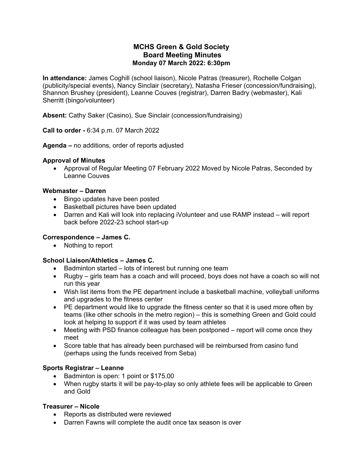## **MCHS Green & Gold Society Board Meeting Minutes Monday 07 March 2022: 6:30pm**

**In attendance:** James Coghill (school liaison), Nicole Patras (treasurer), Rochelle Colgan (publicity/special events), Nancy Sinclair (secretary), Natasha Frieser (concession/fundraising), Shannon Brushey (president), Leanne Couves (registrar), Darren Badry (webmaster), Kali Sherritt (bingo/volunteer)

**Absent:** Cathy Saker (Casino), Sue Sinclair (concession/fundraising)

**Call to order -** 6:34 p.m. 07 March 2022

**Agenda –** no additions, order of reports adjusted

### **Approval of Minutes**

• Approval of Regular Meeting 07 February 2022 Moved by Nicole Patras, Seconded by Leanne Couves

#### **Webmaster – Darren**

- Bingo updates have been posted
- Basketball pictures have been updated
- Darren and Kali will look into replacing iVolunteer and use RAMP instead will report back before 2022-23 school start-up

### **Correspondence – James C.**

• Nothing to report

### **School Liaison/Athletics – James C.**

- Badminton started lots of interest but running one team
- Rugby girls team has a coach and will proceed, boys does not have a coach so will not run this year
- Wish list items from the PE department include a basketball machine, volleyball uniforms and upgrades to the fitness center
- PE department would like to upgrade the fitness center so that it is used more often by teams (like other schools in the metro region) – this is something Green and Gold could look at helping to support if it was used by team athletes
- Meeting with PSD finance colleague has been postponed report will come once they meet
- Score table that has already been purchased will be reimbursed from casino fund (perhaps using the funds received from Seba)

### **Sports Registrar – Leanne**

- Badminton is open: 1 point or \$175.00
- When rugby starts it will be pay-to-play so only athlete fees will be applicable to Green and Gold

### **Treasurer – Nicole**

- Reports as distributed were reviewed
- Darren Fawns will complete the audit once tax season is over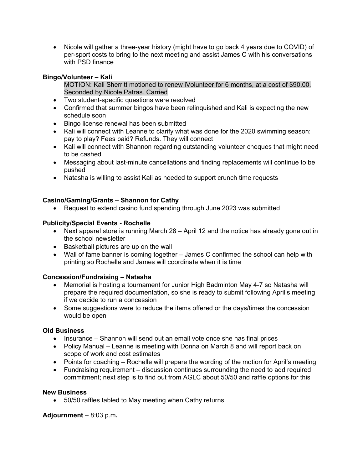• Nicole will gather a three-year history (might have to go back 4 years due to COVID) of per-sport costs to bring to the next meeting and assist James C with his conversations with PSD finance

## **Bingo/Volunteer – Kali**

MOTION: Kali Sherritt motioned to renew iVolunteer for 6 months, at a cost of \$90.00. Seconded by Nicole Patras. Carried

- Two student-specific questions were resolved
- Confirmed that summer bingos have been relinquished and Kali is expecting the new schedule soon
- Bingo license renewal has been submitted
- Kali will connect with Leanne to clarify what was done for the 2020 swimming season: pay to play? Fees paid? Refunds. They will connect
- Kali will connect with Shannon regarding outstanding volunteer cheques that might need to be cashed
- Messaging about last-minute cancellations and finding replacements will continue to be pushed
- Natasha is willing to assist Kali as needed to support crunch time requests

# **Casino/Gaming/Grants – Shannon for Cathy**

• Request to extend casino fund spending through June 2023 was submitted

### **Publicity/Special Events - Rochelle**

- Next apparel store is running March 28 April 12 and the notice has already gone out in the school newsletter
- Basketball pictures are up on the wall
- Wall of fame banner is coming together James C confirmed the school can help with printing so Rochelle and James will coordinate when it is time

### **Concession/Fundraising – Natasha**

- Memorial is hosting a tournament for Junior High Badminton May 4-7 so Natasha will prepare the required documentation, so she is ready to submit following April's meeting if we decide to run a concession
- Some suggestions were to reduce the items offered or the days/times the concession would be open

### **Old Business**

- Insurance Shannon will send out an email vote once she has final prices
- Policy Manual Leanne is meeting with Donna on March 8 and will report back on scope of work and cost estimates
- Points for coaching Rochelle will prepare the wording of the motion for April's meeting
- Fundraising requirement discussion continues surrounding the need to add required commitment; next step is to find out from AGLC about 50/50 and raffle options for this

### **New Business**

• 50/50 raffles tabled to May meeting when Cathy returns

**Adjournment** – 8:03 p.m**.**